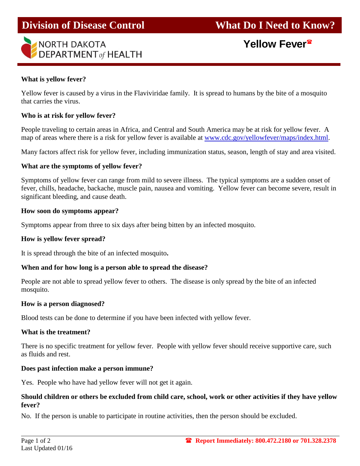

**Yellow Fever**

## **What is yellow fever?**

Yellow fever is caused by a virus in the Flaviviridae family. It is spread to humans by the bite of a mosquito that carries the virus.

## **Who is at risk for yellow fever?**

People traveling to certain areas in Africa, and Central and South America may be at risk for yellow fever. A map of areas where there is a risk for yellow fever is available at [www.cdc.gov/yellowfever/maps/index.html.](http://www.cdc.gov/yellowfever/maps/index.html)

Many factors affect risk for yellow fever, including immunization status, season, length of stay and area visited.

### **What are the symptoms of yellow fever?**

Symptoms of yellow fever can range from mild to severe illness. The typical symptoms are a sudden onset of fever, chills, headache, backache, muscle pain, nausea and vomiting. Yellow fever can become severe, result in significant bleeding, and cause death.

#### **How soon do symptoms appear?**

Symptoms appear from three to six days after being bitten by an infected mosquito.

#### **How is yellow fever spread?**

It is spread through the bite of an infected mosquito**.** 

## **When and for how long is a person able to spread the disease?**

People are not able to spread yellow fever to others. The disease is only spread by the bite of an infected mosquito.

#### **How is a person diagnosed?**

Blood tests can be done to determine if you have been infected with yellow fever.

#### **What is the treatment?**

There is no specific treatment for yellow fever. People with yellow fever should receive supportive care, such as fluids and rest.

## **Does past infection make a person immune?**

Yes. People who have had yellow fever will not get it again.

## **Should children or others be excluded from child care, school, work or other activities if they have yellow fever?**

No. If the person is unable to participate in routine activities, then the person should be excluded.